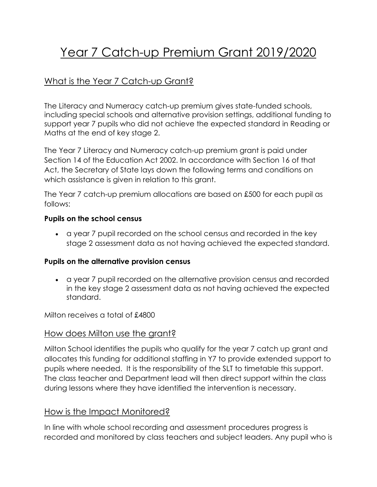# Year 7 Catch-up Premium Grant 2019/2020

# What is the Year 7 Catch-up Grant?

The Literacy and Numeracy catch-up premium gives state-funded schools, including special schools and alternative provision settings, additional funding to support year 7 pupils who did not achieve [the expected standard](https://www.gov.uk/guidance/scaled-scores-at-key-stage-2) in Reading or Maths at the end of key stage 2.

The Year 7 Literacy and Numeracy catch-up premium grant is paid under Section 14 of the Education Act 2002. In accordance with Section 16 of that Act, the Secretary of State lays down the following terms and conditions on which assistance is given in relation to this grant.

The Year 7 catch-up premium allocations are based on £500 for each pupil as follows:

#### **Pupils on the school census**

• a year 7 pupil recorded on the school census and recorded in the key stage 2 assessment data as not having achieved the expected standard.

#### **Pupils on the alternative provision census**

• a year 7 pupil recorded on the alternative provision census and recorded in the key stage 2 assessment data as not having achieved the expected standard.

Milton receives a total of £4800

## How does Milton use the grant?

Milton School identifies the pupils who qualify for the year 7 catch up grant and allocates this funding for additional staffing in Y7 to provide extended support to pupils where needed. It is the responsibility of the SLT to timetable this support. The class teacher and Department lead will then direct support within the class during lessons where they have identified the intervention is necessary.

## How is the Impact Monitored?

In line with whole school recording and assessment procedures progress is recorded and monitored by class teachers and subject leaders. Any pupil who is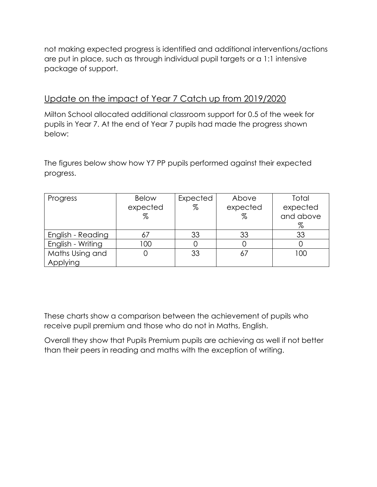not making expected progress is identified and additional interventions/actions are put in place, such as through individual pupil targets or a 1:1 intensive package of support.

## Update on the impact of Year 7 Catch up from 2019/2020

Milton School allocated additional classroom support for 0.5 of the week for pupils in Year 7. At the end of Year 7 pupils had made the progress shown below:

The figures below show how Y7 PP pupils performed against their expected progress.

| Progress          | <b>Below</b> | Expected | Above    | Total     |
|-------------------|--------------|----------|----------|-----------|
|                   | expected     | %        | expected | expected  |
|                   | %            |          | $\%$     | and above |
|                   |              |          |          | %         |
| English - Reading |              | 33       | 33       | 33        |
| English - Writing | 100          |          |          |           |
| Maths Using and   |              | 33       | 67       | 100       |
| Applying          |              |          |          |           |

These charts show a comparison between the achievement of pupils who receive pupil premium and those who do not in Maths, English.

Overall they show that Pupils Premium pupils are achieving as well if not better than their peers in reading and maths with the exception of writing.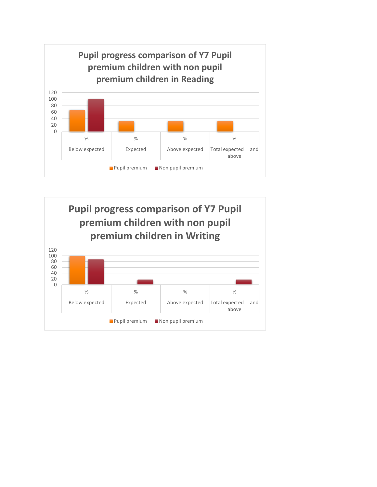